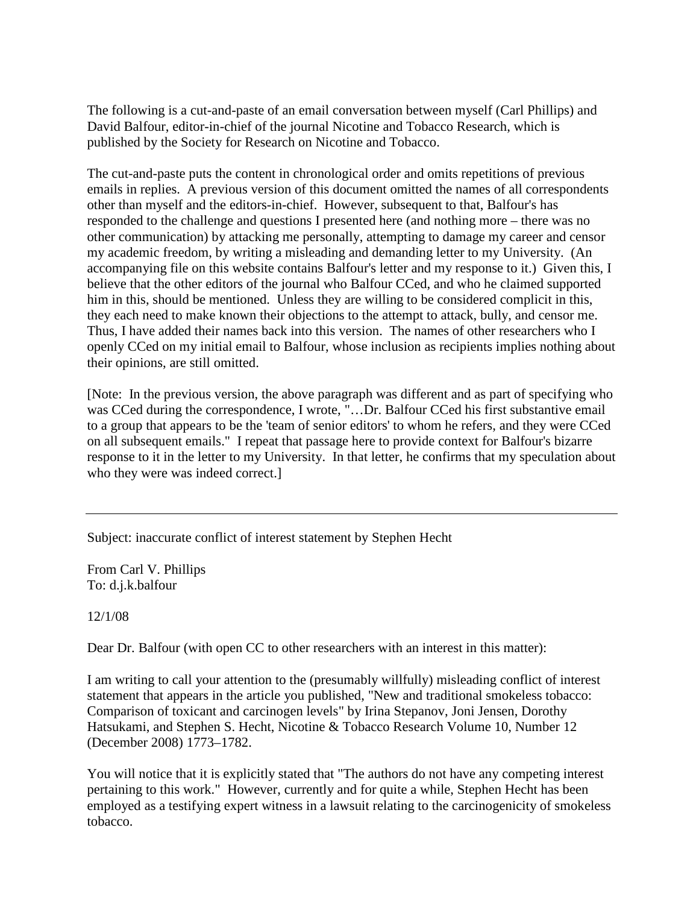The following is a cut-and-paste of an email conversation between myself (Carl Phillips) and David Balfour, editor-in-chief of the journal Nicotine and Tobacco Research, which is published by the Society for Research on Nicotine and Tobacco.

The cut-and-paste puts the content in chronological order and omits repetitions of previous emails in replies. A previous version of this document omitted the names of all correspondents other than myself and the editors-in-chief. However, subsequent to that, Balfour's has responded to the challenge and questions I presented here (and nothing more – there was no other communication) by attacking me personally, attempting to damage my career and censor my academic freedom, by writing a misleading and demanding letter to my University. (An accompanying file on this website contains Balfour's letter and my response to it.) Given this, I believe that the other editors of the journal who Balfour CCed, and who he claimed supported him in this, should be mentioned. Unless they are willing to be considered complicit in this, they each need to make known their objections to the attempt to attack, bully, and censor me. Thus, I have added their names back into this version. The names of other researchers who I openly CCed on my initial email to Balfour, whose inclusion as recipients implies nothing about their opinions, are still omitted.

[Note: In the previous version, the above paragraph was different and as part of specifying who was CCed during the correspondence, I wrote, "...Dr. Balfour CCed his first substantive email to a group that appears to be the 'team of senior editors' to whom he refers, and they were CCed on all subsequent emails." I repeat that passage here to provide context for Balfour's bizarre response to it in the letter to my University. In that letter, he confirms that my speculation about who they were was indeed correct.]

Subject: inaccurate conflict of interest statement by Stephen Hecht

From Carl V. Phillips To: d.j.k.balfour

12/1/08

Dear Dr. Balfour (with open CC to other researchers with an interest in this matter):

I am writing to call your attention to the (presumably willfully) misleading conflict of interest statement that appears in the article you published, "New and traditional smokeless tobacco: Comparison of toxicant and carcinogen levels" by Irina Stepanov, Joni Jensen, Dorothy Hatsukami, and Stephen S. Hecht, Nicotine & Tobacco Research Volume 10, Number 12 (December 2008) 1773–1782.

You will notice that it is explicitly stated that "The authors do not have any competing interest pertaining to this work." However, currently and for quite a while, Stephen Hecht has been employed as a testifying expert witness in a lawsuit relating to the carcinogenicity of smokeless tobacco.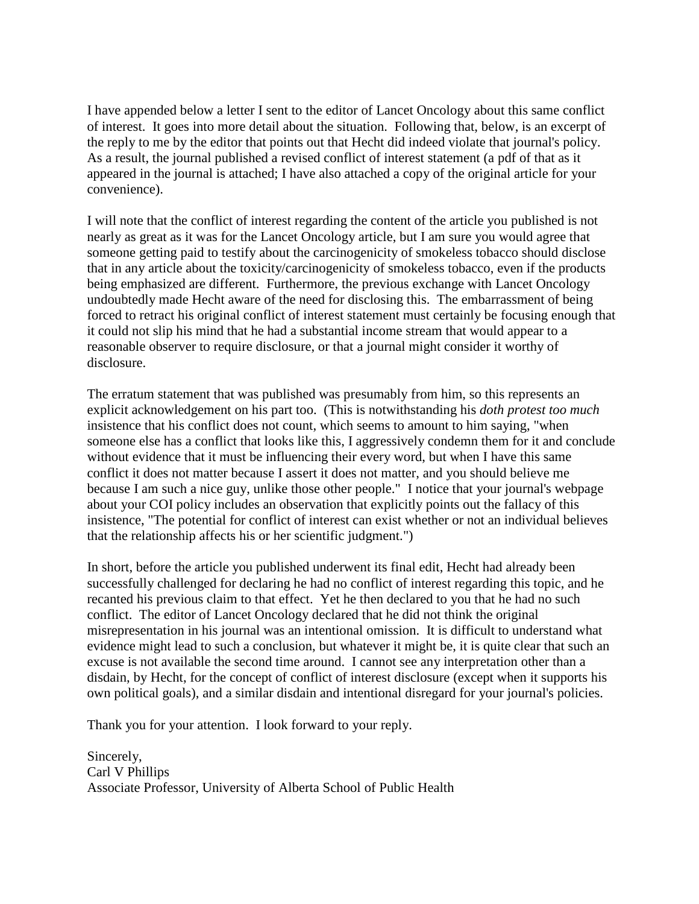I have appended below a letter I sent to the editor of Lancet Oncology about this same conflict of interest. It goes into more detail about the situation. Following that, below, is an excerpt of the reply to me by the editor that points out that Hecht did indeed violate that journal's policy. As a result, the journal published a revised conflict of interest statement (a pdf of that as it appeared in the journal is attached; I have also attached a copy of the original article for your convenience).

I will note that the conflict of interest regarding the content of the article you published is not nearly as great as it was for the Lancet Oncology article, but I am sure you would agree that someone getting paid to testify about the carcinogenicity of smokeless tobacco should disclose that in any article about the toxicity/carcinogenicity of smokeless tobacco, even if the products being emphasized are different. Furthermore, the previous exchange with Lancet Oncology undoubtedly made Hecht aware of the need for disclosing this. The embarrassment of being forced to retract his original conflict of interest statement must certainly be focusing enough that it could not slip his mind that he had a substantial income stream that would appear to a reasonable observer to require disclosure, or that a journal might consider it worthy of disclosure.

The erratum statement that was published was presumably from him, so this represents an explicit acknowledgement on his part too. (This is notwithstanding his *doth protest too much* insistence that his conflict does not count, which seems to amount to him saying, "when someone else has a conflict that looks like this, I aggressively condemn them for it and conclude without evidence that it must be influencing their every word, but when I have this same conflict it does not matter because I assert it does not matter, and you should believe me because I am such a nice guy, unlike those other people." I notice that your journal's webpage about your COI policy includes an observation that explicitly points out the fallacy of this insistence, "The potential for conflict of interest can exist whether or not an individual believes that the relationship affects his or her scientific judgment.")

In short, before the article you published underwent its final edit, Hecht had already been successfully challenged for declaring he had no conflict of interest regarding this topic, and he recanted his previous claim to that effect. Yet he then declared to you that he had no such conflict. The editor of Lancet Oncology declared that he did not think the original misrepresentation in his journal was an intentional omission. It is difficult to understand what evidence might lead to such a conclusion, but whatever it might be, it is quite clear that such an excuse is not available the second time around. I cannot see any interpretation other than a disdain, by Hecht, for the concept of conflict of interest disclosure (except when it supports his own political goals), and a similar disdain and intentional disregard for your journal's policies.

Thank you for your attention. I look forward to your reply.

Sincerely, Carl V Phillips Associate Professor, University of Alberta School of Public Health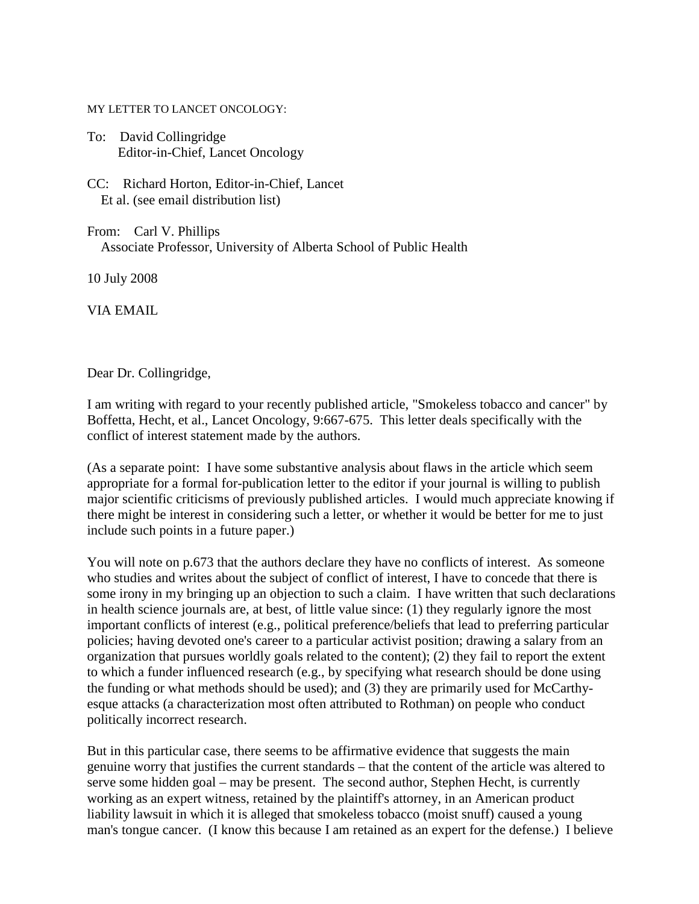## MY LETTER TO LANCET ONCOLOGY:

- To: David Collingridge Editor-in-Chief, Lancet Oncology
- CC: Richard Horton, Editor-in-Chief, Lancet Et al. (see email distribution list)
- From: Carl V. Phillips Associate Professor, University of Alberta School of Public Health

10 July 2008

VIA EMAIL

Dear Dr. Collingridge,

I am writing with regard to your recently published article, "Smokeless tobacco and cancer" by Boffetta, Hecht, et al., Lancet Oncology, 9:667-675. This letter deals specifically with the conflict of interest statement made by the authors.

(As a separate point: I have some substantive analysis about flaws in the article which seem appropriate for a formal for-publication letter to the editor if your journal is willing to publish major scientific criticisms of previously published articles. I would much appreciate knowing if there might be interest in considering such a letter, or whether it would be better for me to just include such points in a future paper.)

You will note on p.673 that the authors declare they have no conflicts of interest. As someone who studies and writes about the subject of conflict of interest, I have to concede that there is some irony in my bringing up an objection to such a claim. I have written that such declarations in health science journals are, at best, of little value since: (1) they regularly ignore the most important conflicts of interest (e.g., political preference/beliefs that lead to preferring particular policies; having devoted one's career to a particular activist position; drawing a salary from an organization that pursues worldly goals related to the content); (2) they fail to report the extent to which a funder influenced research (e.g., by specifying what research should be done using the funding or what methods should be used); and (3) they are primarily used for McCarthyesque attacks (a characterization most often attributed to Rothman) on people who conduct politically incorrect research.

But in this particular case, there seems to be affirmative evidence that suggests the main genuine worry that justifies the current standards – that the content of the article was altered to serve some hidden goal – may be present. The second author, Stephen Hecht, is currently working as an expert witness, retained by the plaintiff's attorney, in an American product liability lawsuit in which it is alleged that smokeless tobacco (moist snuff) caused a young man's tongue cancer. (I know this because I am retained as an expert for the defense.) I believe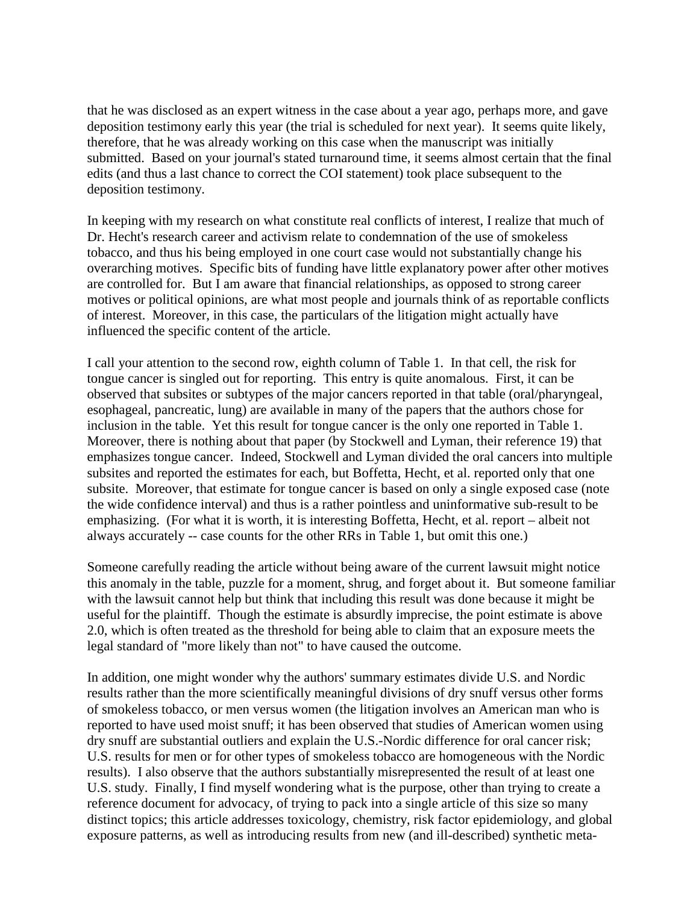that he was disclosed as an expert witness in the case about a year ago, perhaps more, and gave deposition testimony early this year (the trial is scheduled for next year). It seems quite likely, therefore, that he was already working on this case when the manuscript was initially submitted. Based on your journal's stated turnaround time, it seems almost certain that the final edits (and thus a last chance to correct the COI statement) took place subsequent to the deposition testimony.

In keeping with my research on what constitute real conflicts of interest, I realize that much of Dr. Hecht's research career and activism relate to condemnation of the use of smokeless tobacco, and thus his being employed in one court case would not substantially change his overarching motives. Specific bits of funding have little explanatory power after other motives are controlled for. But I am aware that financial relationships, as opposed to strong career motives or political opinions, are what most people and journals think of as reportable conflicts of interest. Moreover, in this case, the particulars of the litigation might actually have influenced the specific content of the article.

I call your attention to the second row, eighth column of Table 1. In that cell, the risk for tongue cancer is singled out for reporting. This entry is quite anomalous. First, it can be observed that subsites or subtypes of the major cancers reported in that table (oral/pharyngeal, esophageal, pancreatic, lung) are available in many of the papers that the authors chose for inclusion in the table. Yet this result for tongue cancer is the only one reported in Table 1. Moreover, there is nothing about that paper (by Stockwell and Lyman, their reference 19) that emphasizes tongue cancer. Indeed, Stockwell and Lyman divided the oral cancers into multiple subsites and reported the estimates for each, but Boffetta, Hecht, et al. reported only that one subsite. Moreover, that estimate for tongue cancer is based on only a single exposed case (note the wide confidence interval) and thus is a rather pointless and uninformative sub-result to be emphasizing. (For what it is worth, it is interesting Boffetta, Hecht, et al. report – albeit not always accurately -- case counts for the other RRs in Table 1, but omit this one.)

Someone carefully reading the article without being aware of the current lawsuit might notice this anomaly in the table, puzzle for a moment, shrug, and forget about it. But someone familiar with the lawsuit cannot help but think that including this result was done because it might be useful for the plaintiff. Though the estimate is absurdly imprecise, the point estimate is above 2.0, which is often treated as the threshold for being able to claim that an exposure meets the legal standard of "more likely than not" to have caused the outcome.

In addition, one might wonder why the authors' summary estimates divide U.S. and Nordic results rather than the more scientifically meaningful divisions of dry snuff versus other forms of smokeless tobacco, or men versus women (the litigation involves an American man who is reported to have used moist snuff; it has been observed that studies of American women using dry snuff are substantial outliers and explain the U.S.-Nordic difference for oral cancer risk; U.S. results for men or for other types of smokeless tobacco are homogeneous with the Nordic results). I also observe that the authors substantially misrepresented the result of at least one U.S. study. Finally, I find myself wondering what is the purpose, other than trying to create a reference document for advocacy, of trying to pack into a single article of this size so many distinct topics; this article addresses toxicology, chemistry, risk factor epidemiology, and global exposure patterns, as well as introducing results from new (and ill-described) synthetic meta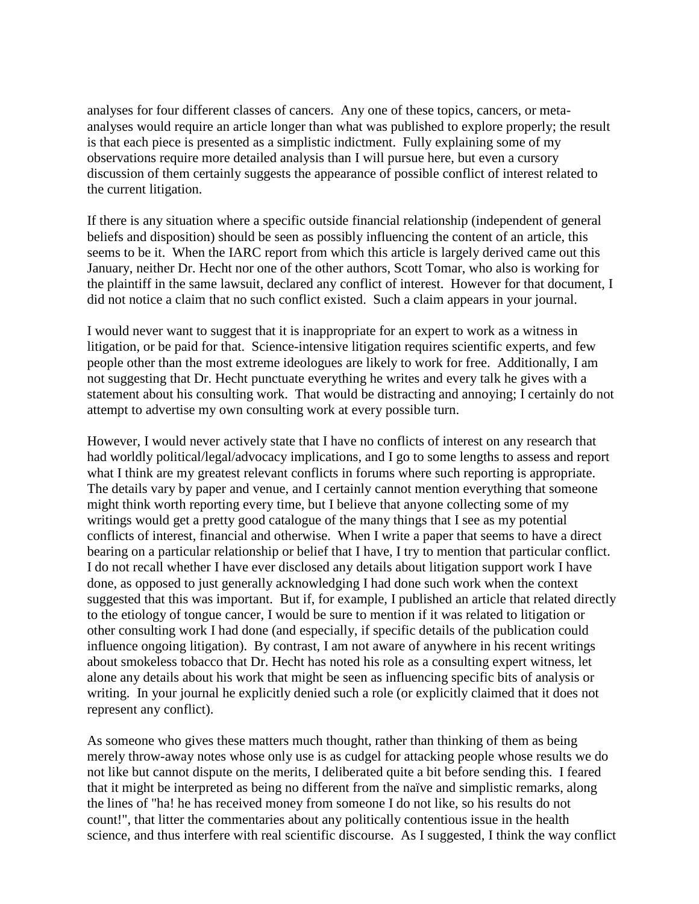analyses for four different classes of cancers. Any one of these topics, cancers, or metaanalyses would require an article longer than what was published to explore properly; the result is that each piece is presented as a simplistic indictment. Fully explaining some of my observations require more detailed analysis than I will pursue here, but even a cursory discussion of them certainly suggests the appearance of possible conflict of interest related to the current litigation.

If there is any situation where a specific outside financial relationship (independent of general beliefs and disposition) should be seen as possibly influencing the content of an article, this seems to be it. When the IARC report from which this article is largely derived came out this January, neither Dr. Hecht nor one of the other authors, Scott Tomar, who also is working for the plaintiff in the same lawsuit, declared any conflict of interest. However for that document, I did not notice a claim that no such conflict existed. Such a claim appears in your journal.

I would never want to suggest that it is inappropriate for an expert to work as a witness in litigation, or be paid for that. Science-intensive litigation requires scientific experts, and few people other than the most extreme ideologues are likely to work for free. Additionally, I am not suggesting that Dr. Hecht punctuate everything he writes and every talk he gives with a statement about his consulting work. That would be distracting and annoying; I certainly do not attempt to advertise my own consulting work at every possible turn.

However, I would never actively state that I have no conflicts of interest on any research that had worldly political/legal/advocacy implications, and I go to some lengths to assess and report what I think are my greatest relevant conflicts in forums where such reporting is appropriate. The details vary by paper and venue, and I certainly cannot mention everything that someone might think worth reporting every time, but I believe that anyone collecting some of my writings would get a pretty good catalogue of the many things that I see as my potential conflicts of interest, financial and otherwise. When I write a paper that seems to have a direct bearing on a particular relationship or belief that I have, I try to mention that particular conflict. I do not recall whether I have ever disclosed any details about litigation support work I have done, as opposed to just generally acknowledging I had done such work when the context suggested that this was important. But if, for example, I published an article that related directly to the etiology of tongue cancer, I would be sure to mention if it was related to litigation or other consulting work I had done (and especially, if specific details of the publication could influence ongoing litigation). By contrast, I am not aware of anywhere in his recent writings about smokeless tobacco that Dr. Hecht has noted his role as a consulting expert witness, let alone any details about his work that might be seen as influencing specific bits of analysis or writing. In your journal he explicitly denied such a role (or explicitly claimed that it does not represent any conflict).

As someone who gives these matters much thought, rather than thinking of them as being merely throw-away notes whose only use is as cudgel for attacking people whose results we do not like but cannot dispute on the merits, I deliberated quite a bit before sending this. I feared that it might be interpreted as being no different from the naïve and simplistic remarks, along the lines of "ha! he has received money from someone I do not like, so his results do not count!", that litter the commentaries about any politically contentious issue in the health science, and thus interfere with real scientific discourse. As I suggested, I think the way conflict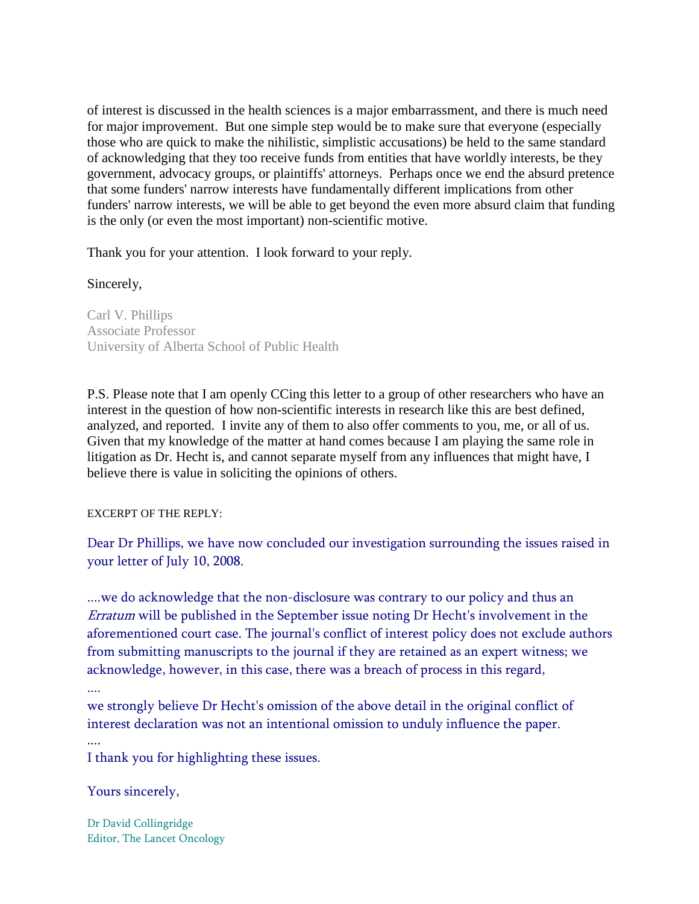of interest is discussed in the health sciences is a major embarrassment, and there is much need for major improvement. But one simple step would be to make sure that everyone (especially those who are quick to make the nihilistic, simplistic accusations) be held to the same standard of acknowledging that they too receive funds from entities that have worldly interests, be they government, advocacy groups, or plaintiffs' attorneys. Perhaps once we end the absurd pretence that some funders' narrow interests have fundamentally different implications from other funders' narrow interests, we will be able to get beyond the even more absurd claim that funding is the only (or even the most important) non-scientific motive.

Thank you for your attention. I look forward to your reply.

## Sincerely,

Carl V. Phillips Associate Professor University of Alberta School of Public Health

P.S. Please note that I am openly CCing this letter to a group of other researchers who have an interest in the question of how non-scientific interests in research like this are best defined, analyzed, and reported. I invite any of them to also offer comments to you, me, or all of us. Given that my knowledge of the matter at hand comes because I am playing the same role in litigation as Dr. Hecht is, and cannot separate myself from any influences that might have, I believe there is value in soliciting the opinions of others.

## EXCERPT OF THE REPLY:

Dear Dr Phillips, we have now concluded our investigation surrounding the issues raised in your letter of July 10, 2008.

....we do acknowledge that the non-disclosure was contrary to our policy and thus an Erratum will be published in the September issue noting Dr Hecht's involvement in the aforementioned court case. The journal's conflict of interest policy does not exclude authors from submitting manuscripts to the journal if they are retained as an expert witness; we acknowledge, however, in this case, there was a breach of process in this regard,

we strongly believe Dr Hecht's omission of the above detail in the original conflict of interest declaration was not an intentional omission to unduly influence the paper.

....

I thank you for highlighting these issues.

## Yours sincerely,

Dr David Collingridge Editor, The Lancet Oncology

<sup>....</sup>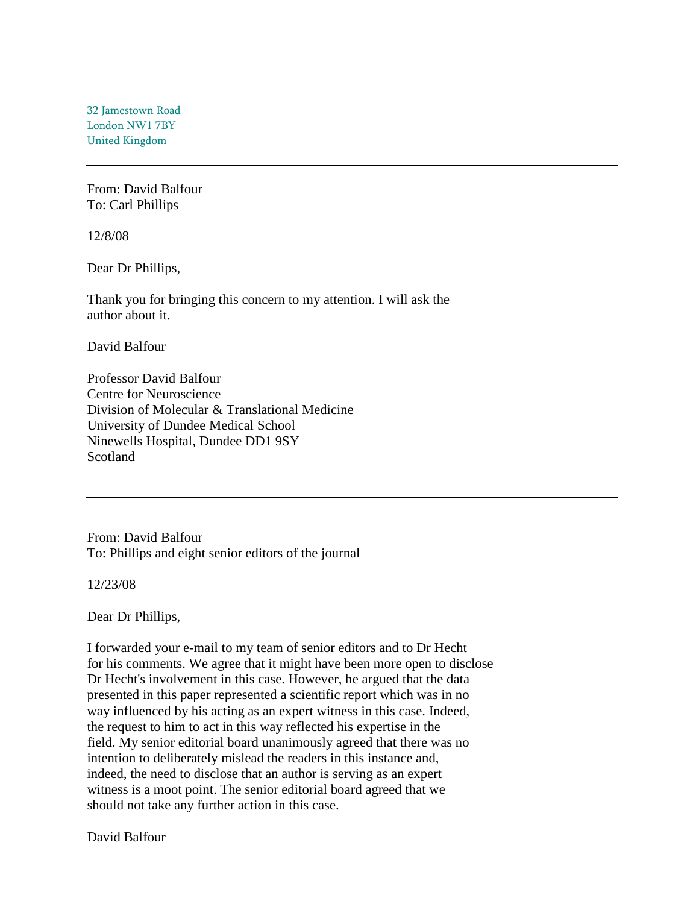32 Jamestown Road London NW1 7BY United Kingdom

From: David Balfour To: Carl Phillips

12/8/08

Dear Dr Phillips,

Thank you for bringing this concern to my attention. I will ask the author about it.

David Balfour

Professor David Balfour Centre for Neuroscience Division of Molecular & Translational Medicine University of Dundee Medical School Ninewells Hospital, Dundee DD1 9SY Scotland

From: David Balfour To: Phillips and eight senior editors of the journal

12/23/08

Dear Dr Phillips,

I forwarded your e-mail to my team of senior editors and to Dr Hecht for his comments. We agree that it might have been more open to disclose Dr Hecht's involvement in this case. However, he argued that the data presented in this paper represented a scientific report which was in no way influenced by his acting as an expert witness in this case. Indeed, the request to him to act in this way reflected his expertise in the field. My senior editorial board unanimously agreed that there was no intention to deliberately mislead the readers in this instance and, indeed, the need to disclose that an author is serving as an expert witness is a moot point. The senior editorial board agreed that we should not take any further action in this case.

David Balfour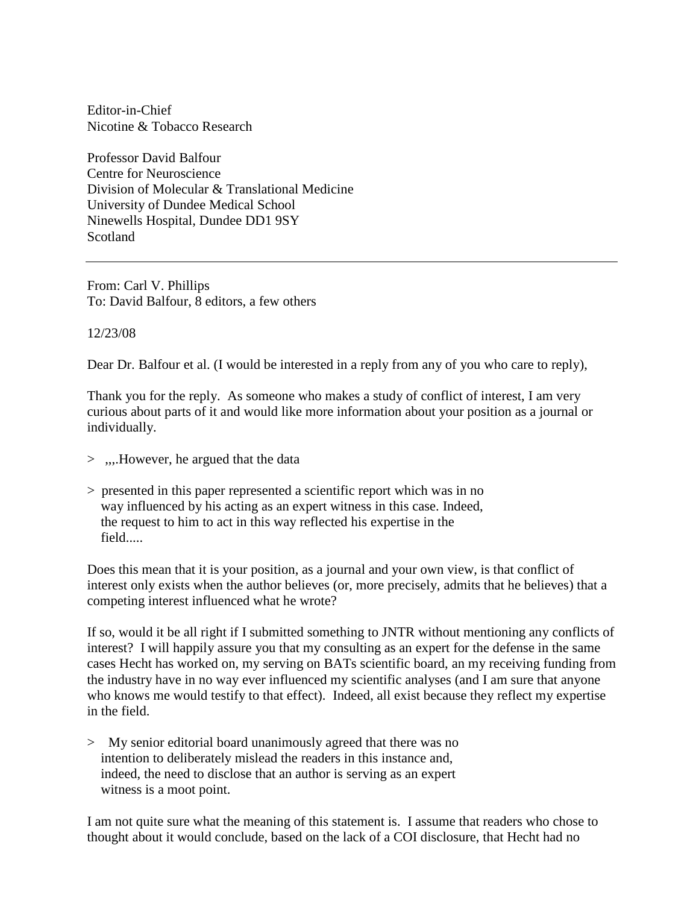Editor-in-Chief Nicotine & Tobacco Research

Professor David Balfour Centre for Neuroscience Division of Molecular & Translational Medicine University of Dundee Medical School Ninewells Hospital, Dundee DD1 9SY Scotland

From: Carl V. Phillips To: David Balfour, 8 editors, a few others

12/23/08

Dear Dr. Balfour et al. (I would be interested in a reply from any of you who care to reply),

Thank you for the reply. As someone who makes a study of conflict of interest, I am very curious about parts of it and would like more information about your position as a journal or individually.

- > ,,,.However, he argued that the data
- > presented in this paper represented a scientific report which was in no way influenced by his acting as an expert witness in this case. Indeed, the request to him to act in this way reflected his expertise in the field.....

Does this mean that it is your position, as a journal and your own view, is that conflict of interest only exists when the author believes (or, more precisely, admits that he believes) that a competing interest influenced what he wrote?

If so, would it be all right if I submitted something to JNTR without mentioning any conflicts of interest? I will happily assure you that my consulting as an expert for the defense in the same cases Hecht has worked on, my serving on BATs scientific board, an my receiving funding from the industry have in no way ever influenced my scientific analyses (and I am sure that anyone who knows me would testify to that effect). Indeed, all exist because they reflect my expertise in the field.

> My senior editorial board unanimously agreed that there was no intention to deliberately mislead the readers in this instance and, indeed, the need to disclose that an author is serving as an expert witness is a moot point.

I am not quite sure what the meaning of this statement is. I assume that readers who chose to thought about it would conclude, based on the lack of a COI disclosure, that Hecht had no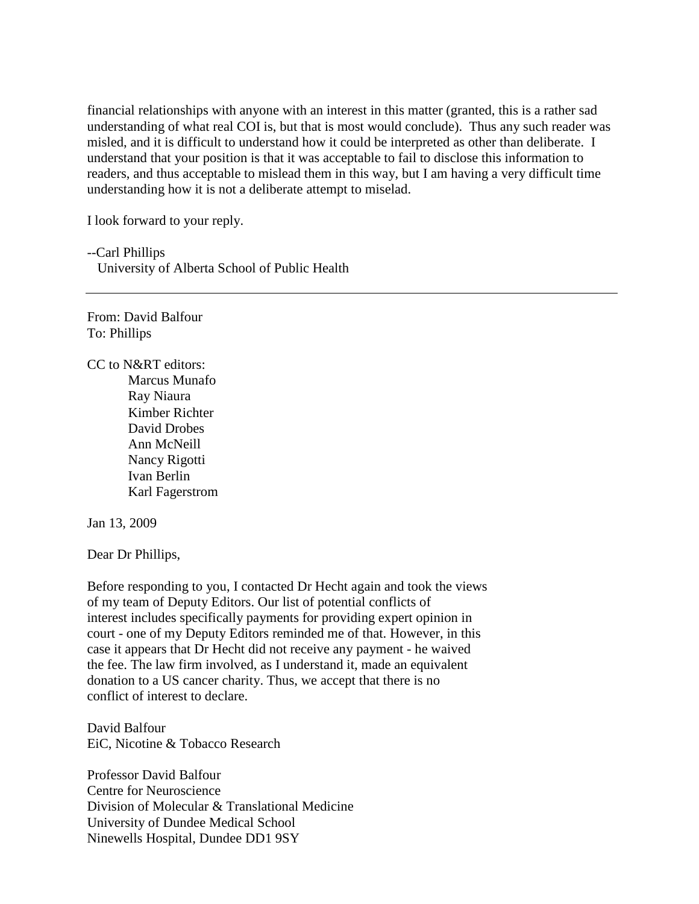financial relationships with anyone with an interest in this matter (granted, this is a rather sad understanding of what real COI is, but that is most would conclude). Thus any such reader was misled, and it is difficult to understand how it could be interpreted as other than deliberate. I understand that your position is that it was acceptable to fail to disclose this information to readers, and thus acceptable to mislead them in this way, but I am having a very difficult time understanding how it is not a deliberate attempt to miselad.

I look forward to your reply.

--Carl Phillips University of Alberta School of Public Health

From: David Balfour To: Phillips

CC to N&RT editors: Marcus Munafo Ray Niaura Kimber Richter David Drobes Ann McNeill Nancy Rigotti Ivan Berlin Karl Fagerstrom

Jan 13, 2009

Dear Dr Phillips,

Before responding to you, I contacted Dr Hecht again and took the views of my team of Deputy Editors. Our list of potential conflicts of interest includes specifically payments for providing expert opinion in court - one of my Deputy Editors reminded me of that. However, in this case it appears that Dr Hecht did not receive any payment - he waived the fee. The law firm involved, as I understand it, made an equivalent donation to a US cancer charity. Thus, we accept that there is no conflict of interest to declare.

David Balfour EiC, Nicotine & Tobacco Research

Professor David Balfour Centre for Neuroscience Division of Molecular & Translational Medicine University of Dundee Medical School Ninewells Hospital, Dundee DD1 9SY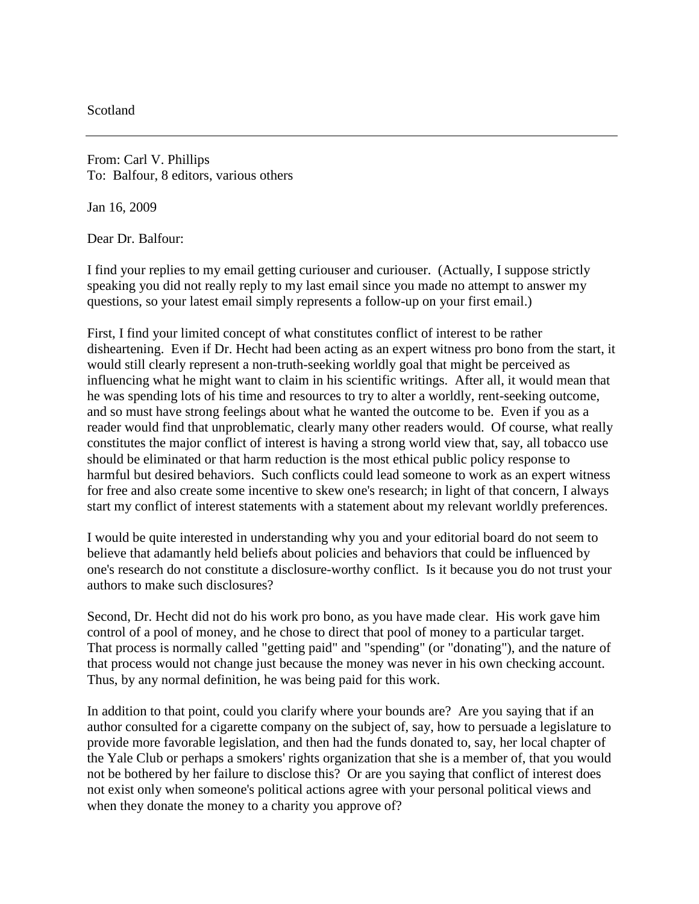**Scotland** 

From: Carl V. Phillips To: Balfour, 8 editors, various others

Jan 16, 2009

Dear Dr. Balfour:

I find your replies to my email getting curiouser and curiouser. (Actually, I suppose strictly speaking you did not really reply to my last email since you made no attempt to answer my questions, so your latest email simply represents a follow-up on your first email.)

First, I find your limited concept of what constitutes conflict of interest to be rather disheartening. Even if Dr. Hecht had been acting as an expert witness pro bono from the start, it would still clearly represent a non-truth-seeking worldly goal that might be perceived as influencing what he might want to claim in his scientific writings. After all, it would mean that he was spending lots of his time and resources to try to alter a worldly, rent-seeking outcome, and so must have strong feelings about what he wanted the outcome to be. Even if you as a reader would find that unproblematic, clearly many other readers would. Of course, what really constitutes the major conflict of interest is having a strong world view that, say, all tobacco use should be eliminated or that harm reduction is the most ethical public policy response to harmful but desired behaviors. Such conflicts could lead someone to work as an expert witness for free and also create some incentive to skew one's research; in light of that concern, I always start my conflict of interest statements with a statement about my relevant worldly preferences.

I would be quite interested in understanding why you and your editorial board do not seem to believe that adamantly held beliefs about policies and behaviors that could be influenced by one's research do not constitute a disclosure-worthy conflict. Is it because you do not trust your authors to make such disclosures?

Second, Dr. Hecht did not do his work pro bono, as you have made clear. His work gave him control of a pool of money, and he chose to direct that pool of money to a particular target. That process is normally called "getting paid" and "spending" (or "donating"), and the nature of that process would not change just because the money was never in his own checking account. Thus, by any normal definition, he was being paid for this work.

In addition to that point, could you clarify where your bounds are? Are you saying that if an author consulted for a cigarette company on the subject of, say, how to persuade a legislature to provide more favorable legislation, and then had the funds donated to, say, her local chapter of the Yale Club or perhaps a smokers' rights organization that she is a member of, that you would not be bothered by her failure to disclose this? Or are you saying that conflict of interest does not exist only when someone's political actions agree with your personal political views and when they donate the money to a charity you approve of?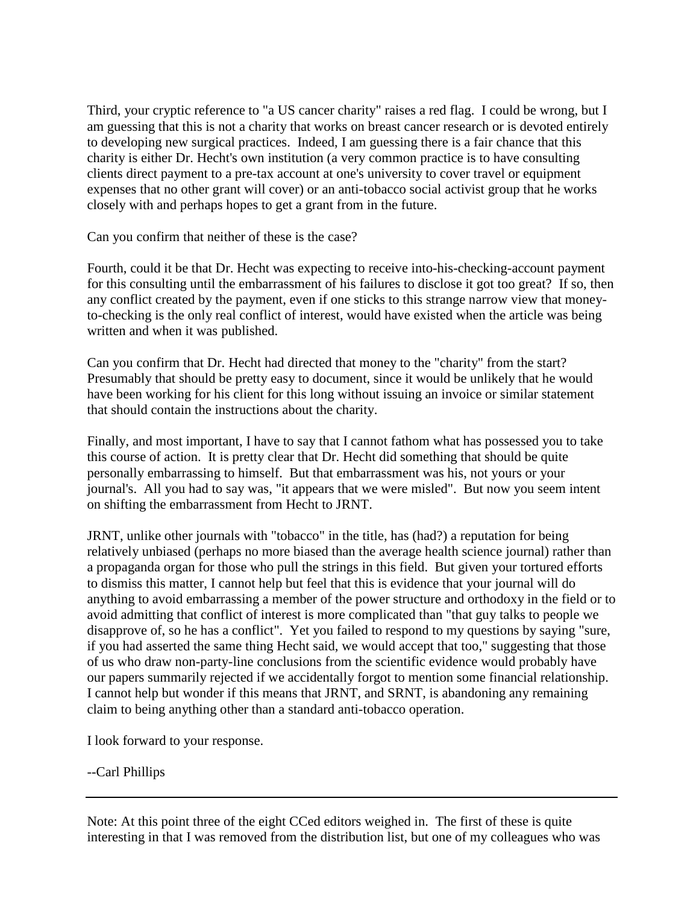Third, your cryptic reference to "a US cancer charity" raises a red flag. I could be wrong, but I am guessing that this is not a charity that works on breast cancer research or is devoted entirely to developing new surgical practices. Indeed, I am guessing there is a fair chance that this charity is either Dr. Hecht's own institution (a very common practice is to have consulting clients direct payment to a pre-tax account at one's university to cover travel or equipment expenses that no other grant will cover) or an anti-tobacco social activist group that he works closely with and perhaps hopes to get a grant from in the future.

Can you confirm that neither of these is the case?

Fourth, could it be that Dr. Hecht was expecting to receive into-his-checking-account payment for this consulting until the embarrassment of his failures to disclose it got too great? If so, then any conflict created by the payment, even if one sticks to this strange narrow view that moneyto-checking is the only real conflict of interest, would have existed when the article was being written and when it was published.

Can you confirm that Dr. Hecht had directed that money to the "charity" from the start? Presumably that should be pretty easy to document, since it would be unlikely that he would have been working for his client for this long without issuing an invoice or similar statement that should contain the instructions about the charity.

Finally, and most important, I have to say that I cannot fathom what has possessed you to take this course of action. It is pretty clear that Dr. Hecht did something that should be quite personally embarrassing to himself. But that embarrassment was his, not yours or your journal's. All you had to say was, "it appears that we were misled". But now you seem intent on shifting the embarrassment from Hecht to JRNT.

JRNT, unlike other journals with "tobacco" in the title, has (had?) a reputation for being relatively unbiased (perhaps no more biased than the average health science journal) rather than a propaganda organ for those who pull the strings in this field. But given your tortured efforts to dismiss this matter, I cannot help but feel that this is evidence that your journal will do anything to avoid embarrassing a member of the power structure and orthodoxy in the field or to avoid admitting that conflict of interest is more complicated than "that guy talks to people we disapprove of, so he has a conflict". Yet you failed to respond to my questions by saying "sure, if you had asserted the same thing Hecht said, we would accept that too," suggesting that those of us who draw non-party-line conclusions from the scientific evidence would probably have our papers summarily rejected if we accidentally forgot to mention some financial relationship. I cannot help but wonder if this means that JRNT, and SRNT, is abandoning any remaining claim to being anything other than a standard anti-tobacco operation.

I look forward to your response.

--Carl Phillips

Note: At this point three of the eight CCed editors weighed in. The first of these is quite interesting in that I was removed from the distribution list, but one of my colleagues who was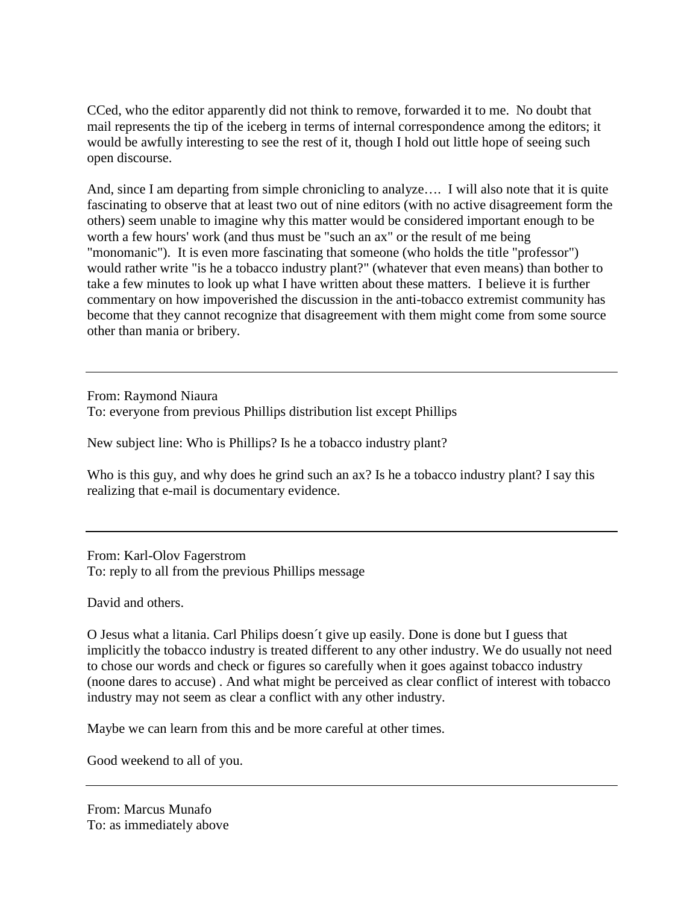CCed, who the editor apparently did not think to remove, forwarded it to me. No doubt that mail represents the tip of the iceberg in terms of internal correspondence among the editors; it would be awfully interesting to see the rest of it, though I hold out little hope of seeing such open discourse.

And, since I am departing from simple chronicling to analyze…. I will also note that it is quite fascinating to observe that at least two out of nine editors (with no active disagreement form the others) seem unable to imagine why this matter would be considered important enough to be worth a few hours' work (and thus must be "such an ax" or the result of me being "monomanic"). It is even more fascinating that someone (who holds the title "professor") would rather write "is he a tobacco industry plant?" (whatever that even means) than bother to take a few minutes to look up what I have written about these matters. I believe it is further commentary on how impoverished the discussion in the anti-tobacco extremist community has become that they cannot recognize that disagreement with them might come from some source other than mania or bribery.

From: Raymond Niaura To: everyone from previous Phillips distribution list except Phillips

New subject line: Who is Phillips? Is he a tobacco industry plant?

Who is this guy, and why does he grind such an ax? Is he a tobacco industry plant? I say this realizing that e-mail is documentary evidence.

From: Karl-Olov Fagerstrom To: reply to all from the previous Phillips message

David and others.

O Jesus what a litania. Carl Philips doesn´t give up easily. Done is done but I guess that implicitly the tobacco industry is treated different to any other industry. We do usually not need to chose our words and check or figures so carefully when it goes against tobacco industry (noone dares to accuse) . And what might be perceived as clear conflict of interest with tobacco industry may not seem as clear a conflict with any other industry.

Maybe we can learn from this and be more careful at other times.

Good weekend to all of you.

From: Marcus Munafo To: as immediately above